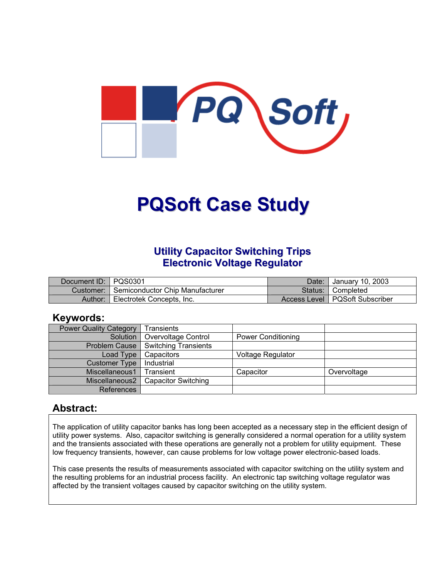

# **PQSoft Case Study**

#### **Utility Capacitor Switching Trips Electronic Voltage Regulator**

| Document ID:   PQS0301 |                                 | Date: | January 10, 2003                 |
|------------------------|---------------------------------|-------|----------------------------------|
| Customer:              | Semiconductor Chip Manufacturer |       | Status: Completed                |
| Author:                | Electrotek Concepts, Inc.       |       | Access Level   PQSoft Subscriber |

#### **Keywords:**

| <b>Power Quality Category</b> | Transients                 |                           |             |
|-------------------------------|----------------------------|---------------------------|-------------|
|                               |                            |                           |             |
| Solution                      | Overvoltage Control        | <b>Power Conditioning</b> |             |
| <b>Problem Cause</b>          | Switching Transients       |                           |             |
| Load Type                     | Capacitors                 | Voltage Regulator         |             |
| <b>Customer Type</b>          | Industrial                 |                           |             |
| Miscellaneous1                | Transient                  | Capacitor                 | Overvoltage |
| Miscellaneous2                | <b>Capacitor Switching</b> |                           |             |
| References                    |                            |                           |             |

#### **Abstract:**

The application of utility capacitor banks has long been accepted as a necessary step in the efficient design of utility power systems. Also, capacitor switching is generally considered a normal operation for a utility system and the transients associated with these operations are generally not a problem for utility equipment. These low frequency transients, however, can cause problems for low voltage power electronic-based loads.

This case presents the results of measurements associated with capacitor switching on the utility system and the resulting problems for an industrial process facility. An electronic tap switching voltage regulator was affected by the transient voltages caused by capacitor switching on the utility system.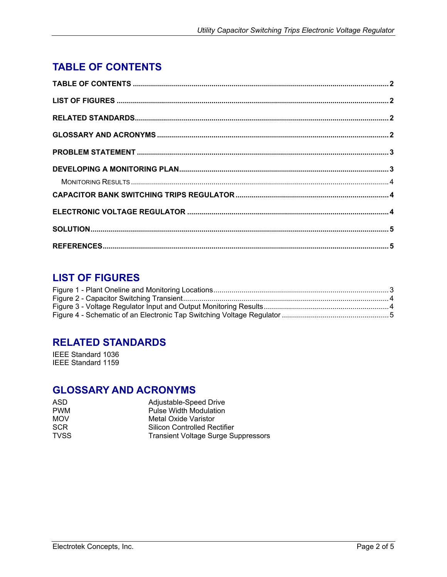# <span id="page-1-0"></span>**TABLE OF CONTENTS**

## **LIST OF FIGURES**

#### **RELATED STANDARDS**

IEEE Standard 1036 IEEE Standard 1159

### **GLOSSARY AND ACRONYMS**

| Adjustable-Speed Drive                     |  |
|--------------------------------------------|--|
| Pulse Width Modulation                     |  |
| Metal Oxide Varistor                       |  |
| Silicon Controlled Rectifier               |  |
| <b>Transient Voltage Surge Suppressors</b> |  |
|                                            |  |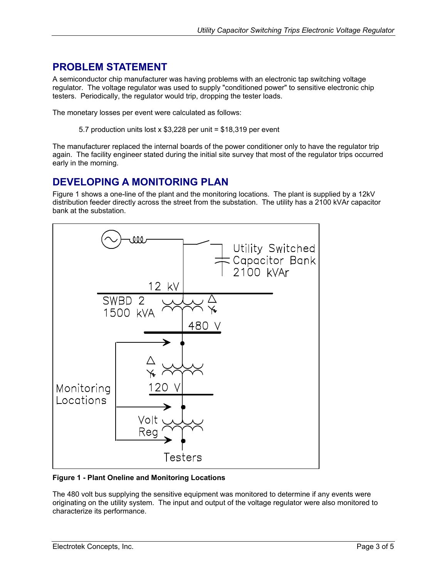## <span id="page-2-0"></span>**PROBLEM STATEMENT**

A semiconductor chip manufacturer was having problems with an electronic tap switching voltage regulator. The voltage regulator was used to supply "conditioned power" to sensitive electronic chip testers. Periodically, the regulator would trip, dropping the tester loads.

The monetary losses per event were calculated as follows:

5.7 production units lost x \$3,228 per unit = \$18,319 per event

The manufacturer replaced the internal boards of the power conditioner only to have the regulator trip again. The facility engineer stated during the initial site survey that most of the regulator trips occurred early in the morning.

#### **DEVELOPING A MONITORING PLAN**

[Figure](#page-2-1) 1 shows a one-line of the plant and the monitoring locations. The plant is supplied by a 12kV distribution feeder directly across the street from the substation. The utility has a 2100 kVAr capacitor bank at the substation.

<span id="page-2-1"></span>

**Figure 1 - Plant Oneline and Monitoring Locations**

The 480 volt bus supplying the sensitive equipment was monitored to determine if any events were originating on the utility system. The input and output of the voltage regulator were also monitored to characterize its performance.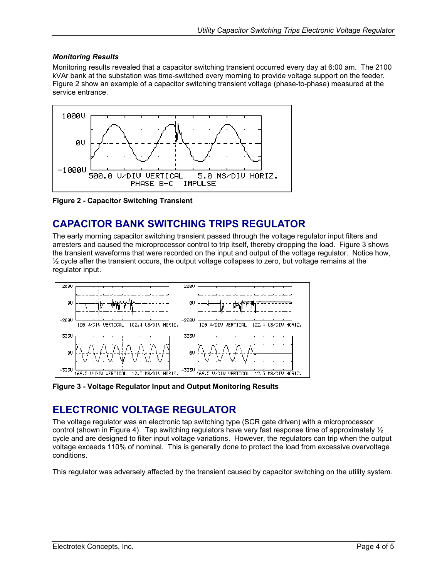#### <span id="page-3-0"></span>*Monitoring Results*

Monitoring results revealed that a capacitor switching transient occurred every day at 6:00 am. The 2100 kVAr bank at the substation was time-switched every morning to provide voltage support on the feeder. [Figure](#page-3-1) 2 show an example of a capacitor switching transient voltage (phase-to-phase) measured at the service entrance.

<span id="page-3-1"></span>

**Figure 2 - Capacitor Switching Transient** 

# **CAPACITOR BANK SWITCHING TRIPS REGULATOR**

The early morning capacitor switching transient passed through the voltage regulator input filters and arresters and caused the microprocessor control to trip itself, thereby dropping the load. [Figure 3](#page-3-2) shows the transient waveforms that were recorded on the input and output of the voltage regulator. Notice how,  $\frac{1}{2}$  cycle after the transient occurs, the output voltage collapses to zero, but voltage remains at the regulator input.

<span id="page-3-2"></span>

**Figure 3 - Voltage Regulator Input and Output Monitoring Results** 

#### **ELECTRONIC VOLTAGE REGULATOR**

The voltage regulator was an electronic tap switching type (SCR gate driven) with a microprocessor control (shown in [Figure 4\)](#page-4-1). Tap switching regulators have very fast response time of approximately  $\frac{1}{2}$ cycle and are designed to filter input voltage variations. However, the regulators can trip when the output voltage exceeds 110% of nominal. This is generally done to protect the load from excessive overvoltage conditions.

This regulator was adversely affected by the transient caused by capacitor switching on the utility system.